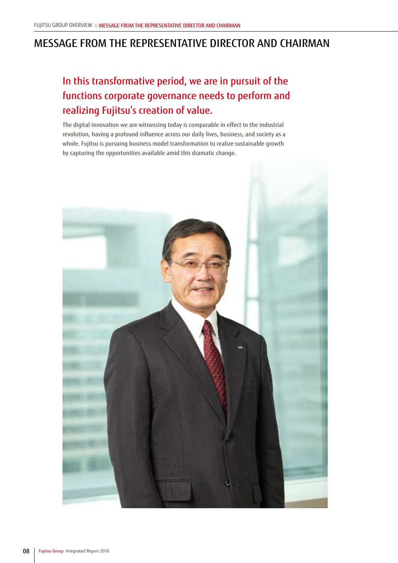## MESSAGE FROM THE REPRESENTATIVE DIRECTOR AND CHAIRMAN

## In this transformative period, we are in pursuit of the functions corporate governance needs to perform and realizing Fujitsu's creation of value.

The digital innovation we are witnessing today is comparable in effect to the industrial revolution, having a profound influence across our daily lives, business, and society as a whole. Fujitsu is pursuing business model transformation to realize sustainable growth by capturing the opportunities available amid this dramatic change.